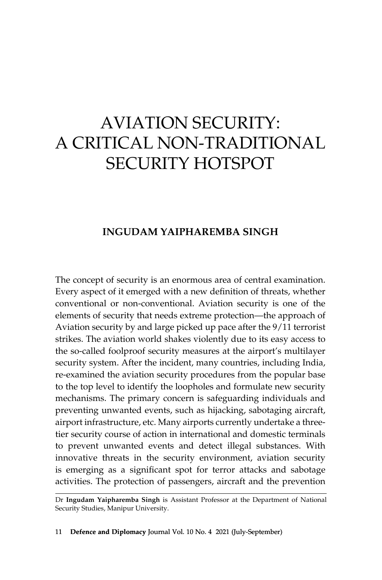# Aviation Security: A Critical Non-Traditional SECURITY HOTSPOT

# **Ingudam Yaipharemba Singh**

The concept of security is an enormous area of central examination. Every aspect of it emerged with a new definition of threats, whether conventional or non-conventional. Aviation security is one of the elements of security that needs extreme protection—the approach of Aviation security by and large picked up pace after the 9/11 terrorist strikes. The aviation world shakes violently due to its easy access to the so-called foolproof security measures at the airport's multilayer security system. After the incident, many countries, including India, re-examined the aviation security procedures from the popular base to the top level to identify the loopholes and formulate new security mechanisms. The primary concern is safeguarding individuals and preventing unwanted events, such as hijacking, sabotaging aircraft, airport infrastructure, etc. Many airports currently undertake a threetier security course of action in international and domestic terminals to prevent unwanted events and detect illegal substances. With innovative threats in the security environment, aviation security is emerging as a significant spot for terror attacks and sabotage activities. The protection of passengers, aircraft and the prevention

Dr **Ingudam Yaipharemba Singh** is Assistant Professor at the Department of National Security Studies, Manipur University.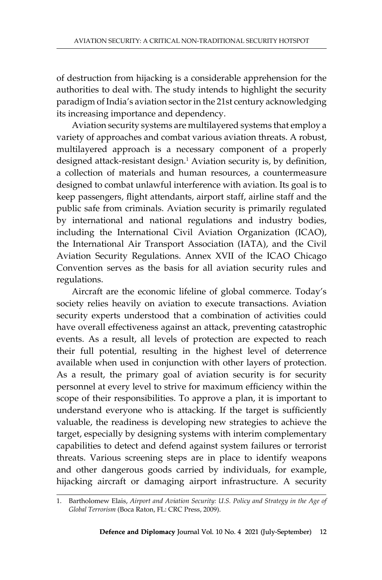of destruction from hijacking is a considerable apprehension for the authorities to deal with. The study intends to highlight the security paradigm of India's aviation sector in the 21st century acknowledging its increasing importance and dependency.

Aviation security systems are multilayered systems that employ a variety of approaches and combat various aviation threats. A robust, multilayered approach is a necessary component of a properly designed attack-resistant design.1 Aviation security is, by definition, a collection of materials and human resources, a countermeasure designed to combat unlawful interference with aviation. Its goal is to keep passengers, flight attendants, airport staff, airline staff and the public safe from criminals. Aviation security is primarily regulated by international and national regulations and industry bodies, including the International Civil Aviation Organization (ICAO), the International Air Transport Association (IATA), and the Civil Aviation Security Regulations. Annex XVII of the ICAO Chicago Convention serves as the basis for all aviation security rules and regulations.

Aircraft are the economic lifeline of global commerce. Today's society relies heavily on aviation to execute transactions. Aviation security experts understood that a combination of activities could have overall effectiveness against an attack, preventing catastrophic events. As a result, all levels of protection are expected to reach their full potential, resulting in the highest level of deterrence available when used in conjunction with other layers of protection. As a result, the primary goal of aviation security is for security personnel at every level to strive for maximum efficiency within the scope of their responsibilities. To approve a plan, it is important to understand everyone who is attacking. If the target is sufficiently valuable, the readiness is developing new strategies to achieve the target, especially by designing systems with interim complementary capabilities to detect and defend against system failures or terrorist threats. Various screening steps are in place to identify weapons and other dangerous goods carried by individuals, for example, hijacking aircraft or damaging airport infrastructure. A security

<sup>1.</sup> Bartholomew Elais, *Airport and Aviation Security: U.S. Policy and Strategy in the Age of Global Terrorism* (Boca Raton, FL: CRC Press, 2009).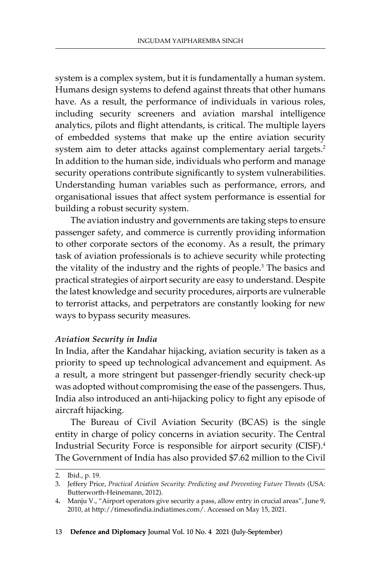system is a complex system, but it is fundamentally a human system. Humans design systems to defend against threats that other humans have. As a result, the performance of individuals in various roles, including security screeners and aviation marshal intelligence analytics, pilots and flight attendants, is critical. The multiple layers of embedded systems that make up the entire aviation security system aim to deter attacks against complementary aerial targets.<sup>2</sup> In addition to the human side, individuals who perform and manage security operations contribute significantly to system vulnerabilities. Understanding human variables such as performance, errors, and organisational issues that affect system performance is essential for building a robust security system.

The aviation industry and governments are taking steps to ensure passenger safety, and commerce is currently providing information to other corporate sectors of the economy. As a result, the primary task of aviation professionals is to achieve security while protecting the vitality of the industry and the rights of people.<sup>3</sup> The basics and practical strategies of airport security are easy to understand. Despite the latest knowledge and security procedures, airports are vulnerable to terrorist attacks, and perpetrators are constantly looking for new ways to bypass security measures.

#### *Aviation Security in India*

In India, after the Kandahar hijacking, aviation security is taken as a priority to speed up technological advancement and equipment. As a result, a more stringent but passenger-friendly security check-up was adopted without compromising the ease of the passengers. Thus, India also introduced an anti-hijacking policy to fight any episode of aircraft hijacking.

The Bureau of Civil Aviation Security (BCAS) is the single entity in charge of policy concerns in aviation security. The Central Industrial Security Force is responsible for airport security (CISF).<sup>4</sup> The Government of India has also provided \$7.62 million to the Civil

<sup>2.</sup> Ibid., p. 19.

<sup>3.</sup> Jeffery Price, *Practical Aviation Security: Predicting and Preventing Future Threats* (USA: Butterworth-Heinemann, 2012).

<sup>4</sup>**.** Manju V., "Airport operators give security a pass, allow entry in crucial areas", June 9, 2010, at http://timesofindia.indiatimes.com/. Accessed on May 15, 2021.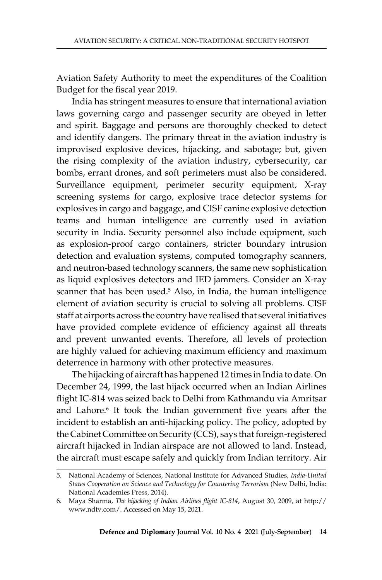Aviation Safety Authority to meet the expenditures of the Coalition Budget for the fiscal year 2019.

India has stringent measures to ensure that international aviation laws governing cargo and passenger security are obeyed in letter and spirit. Baggage and persons are thoroughly checked to detect and identify dangers. The primary threat in the aviation industry is improvised explosive devices, hijacking, and sabotage; but, given the rising complexity of the aviation industry, cybersecurity, car bombs, errant drones, and soft perimeters must also be considered. Surveillance equipment, perimeter security equipment, X-ray screening systems for cargo, explosive trace detector systems for explosives in cargo and baggage, and CISF canine explosive detection teams and human intelligence are currently used in aviation security in India. Security personnel also include equipment, such as explosion-proof cargo containers, stricter boundary intrusion detection and evaluation systems, computed tomography scanners, and neutron-based technology scanners, the same new sophistication as liquid explosives detectors and IED jammers. Consider an X-ray scanner that has been used.<sup>5</sup> Also, in India, the human intelligence element of aviation security is crucial to solving all problems. CISF staff at airports across the country have realised that several initiatives have provided complete evidence of efficiency against all threats and prevent unwanted events. Therefore, all levels of protection are highly valued for achieving maximum efficiency and maximum deterrence in harmony with other protective measures.

The hijacking of aircraft has happened 12 times in India to date. On December 24, 1999, the last hijack occurred when an Indian Airlines flight IC-814 was seized back to Delhi from Kathmandu via Amritsar and Lahore.<sup>6</sup> It took the Indian government five years after the incident to establish an anti-hijacking policy. The policy, adopted by the Cabinet Committee on Security (CCS), says that foreign-registered aircraft hijacked in Indian airspace are not allowed to land. Instead, the aircraft must escape safely and quickly from Indian territory. Air

<sup>5.</sup> National Academy of Sciences, National Institute for Advanced Studies, *India-United States Cooperation on Science and Technology for Countering Terrorism* (New Delhi, India: National Academies Press, 2014).

<sup>6.</sup> Maya Sharma, *The hijacking of Indian Airlines flight IC-814*, August 30, 2009, at http:// www.ndtv.com/. Accessed on May 15, 2021.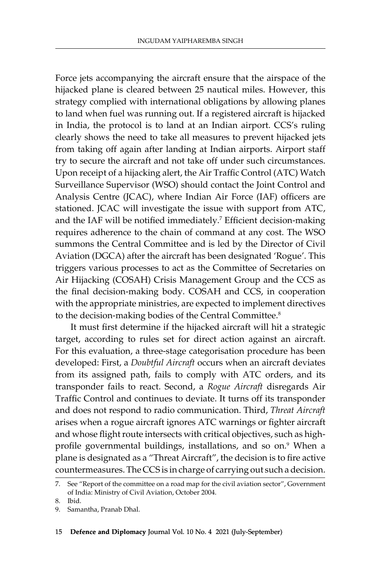Force jets accompanying the aircraft ensure that the airspace of the hijacked plane is cleared between 25 nautical miles. However, this strategy complied with international obligations by allowing planes to land when fuel was running out. If a registered aircraft is hijacked in India, the protocol is to land at an Indian airport. CCS's ruling clearly shows the need to take all measures to prevent hijacked jets from taking off again after landing at Indian airports. Airport staff try to secure the aircraft and not take off under such circumstances. Upon receipt of a hijacking alert, the Air Traffic Control (ATC) Watch Surveillance Supervisor (WSO) should contact the Joint Control and Analysis Centre (JCAC), where Indian Air Force (IAF) officers are stationed. JCAC will investigate the issue with support from ATC, and the IAF will be notified immediately.<sup>7</sup> Efficient decision-making requires adherence to the chain of command at any cost. The WSO summons the Central Committee and is led by the Director of Civil Aviation (DGCA) after the aircraft has been designated 'Rogue'. This triggers various processes to act as the Committee of Secretaries on Air Hijacking (COSAH) Crisis Management Group and the CCS as the final decision-making body. COSAH and CCS, in cooperation with the appropriate ministries, are expected to implement directives to the decision-making bodies of the Central Committee.<sup>8</sup>

It must first determine if the hijacked aircraft will hit a strategic target, according to rules set for direct action against an aircraft. For this evaluation, a three-stage categorisation procedure has been developed: First, a *Doubtful Aircraft* occurs when an aircraft deviates from its assigned path, fails to comply with ATC orders, and its transponder fails to react. Second, a *Rogue Aircraft* disregards Air Traffic Control and continues to deviate. It turns off its transponder and does not respond to radio communication. Third, *Threat Aircraft* arises when a rogue aircraft ignores ATC warnings or fighter aircraft and whose flight route intersects with critical objectives, such as highprofile governmental buildings, installations, and so on.<sup>9</sup> When a plane is designated as a "Threat Aircraft", the decision is to fire active countermeasures. The CCS is in charge of carrying out such a decision.

<sup>7.</sup> See "Report of the committee on a road map for the civil aviation sector", Government of India: Ministry of Civil Aviation, October 2004.

<sup>8.</sup> Ibid.

<sup>9.</sup> Samantha, Pranab Dhal.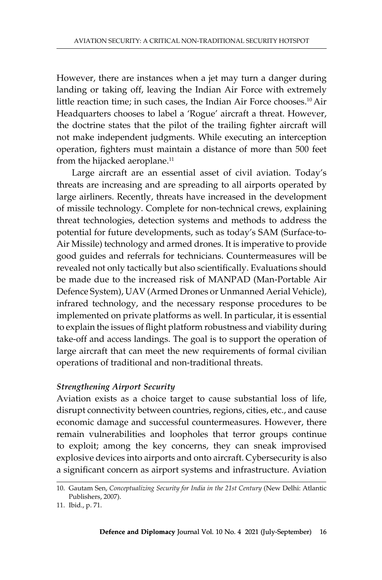However, there are instances when a jet may turn a danger during landing or taking off, leaving the Indian Air Force with extremely little reaction time; in such cases, the Indian Air Force chooses.<sup>10</sup> Air Headquarters chooses to label a 'Rogue' aircraft a threat. However, the doctrine states that the pilot of the trailing fighter aircraft will not make independent judgments. While executing an interception operation, fighters must maintain a distance of more than 500 feet from the hijacked aeroplane.<sup>11</sup>

Large aircraft are an essential asset of civil aviation. Today's threats are increasing and are spreading to all airports operated by large airliners. Recently, threats have increased in the development of missile technology. Complete for non-technical crews, explaining threat technologies, detection systems and methods to address the potential for future developments, such as today's SAM (Surface-to-Air Missile) technology and armed drones. It is imperative to provide good guides and referrals for technicians. Countermeasures will be revealed not only tactically but also scientifically. Evaluations should be made due to the increased risk of MANPAD (Man-Portable Air Defence System), UAV (Armed Drones or Unmanned Aerial Vehicle), infrared technology, and the necessary response procedures to be implemented on private platforms as well. In particular, it is essential to explain the issues of flight platform robustness and viability during take-off and access landings. The goal is to support the operation of large aircraft that can meet the new requirements of formal civilian operations of traditional and non-traditional threats.

### *Strengthening Airport Security*

Aviation exists as a choice target to cause substantial loss of life, disrupt connectivity between countries, regions, cities, etc., and cause economic damage and successful countermeasures. However, there remain vulnerabilities and loopholes that terror groups continue to exploit; among the key concerns, they can sneak improvised explosive devices into airports and onto aircraft. Cybersecurity is also a significant concern as airport systems and infrastructure. Aviation

<sup>10.</sup> Gautam Sen, *Conceptualizing Security for India in the 21st Century* (New Delhi: Atlantic Publishers, 2007).

<sup>11.</sup> Ibid., p. 71.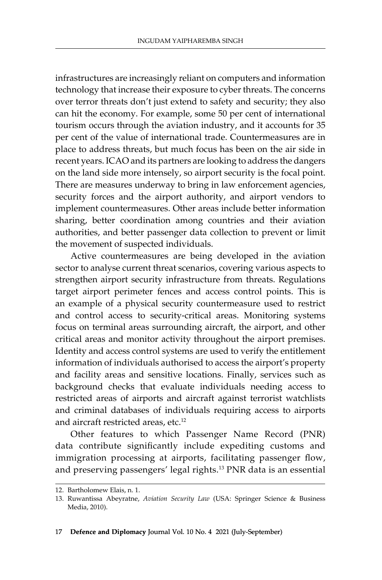infrastructures are increasingly reliant on computers and information technology that increase their exposure to cyber threats. The concerns over terror threats don't just extend to safety and security; they also can hit the economy. For example, some 50 per cent of international tourism occurs through the aviation industry, and it accounts for 35 per cent of the value of international trade. Countermeasures are in place to address threats, but much focus has been on the air side in recent years. ICAO and its partners are looking to address the dangers on the land side more intensely, so airport security is the focal point. There are measures underway to bring in law enforcement agencies, security forces and the airport authority, and airport vendors to implement countermeasures. Other areas include better information sharing, better coordination among countries and their aviation authorities, and better passenger data collection to prevent or limit the movement of suspected individuals.

Active countermeasures are being developed in the aviation sector to analyse current threat scenarios, covering various aspects to strengthen airport security infrastructure from threats. Regulations target airport perimeter fences and access control points. This is an example of a physical security countermeasure used to restrict and control access to security-critical areas. Monitoring systems focus on terminal areas surrounding aircraft, the airport, and other critical areas and monitor activity throughout the airport premises. Identity and access control systems are used to verify the entitlement information of individuals authorised to access the airport's property and facility areas and sensitive locations. Finally, services such as background checks that evaluate individuals needing access to restricted areas of airports and aircraft against terrorist watchlists and criminal databases of individuals requiring access to airports and aircraft restricted areas, etc.<sup>12</sup>

Other features to which Passenger Name Record (PNR) data contribute significantly include expediting customs and immigration processing at airports, facilitating passenger flow, and preserving passengers' legal rights.13 PNR data is an essential

<sup>12.</sup> Bartholomew Elais, n. 1.

<sup>13.</sup> Ruwantissa Abeyratne, *Aviation Security Law* (USA: Springer Science & Business Media, 2010).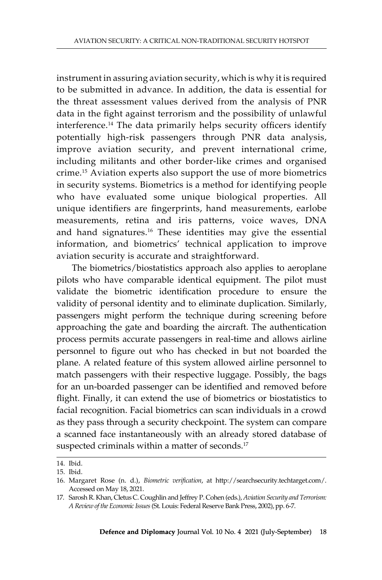instrument in assuring aviation security, which is why it is required to be submitted in advance. In addition, the data is essential for the threat assessment values derived from the analysis of PNR data in the fight against terrorism and the possibility of unlawful interference.14 The data primarily helps security officers identify potentially high-risk passengers through PNR data analysis, improve aviation security, and prevent international crime, including militants and other border-like crimes and organised crime.<sup>15</sup> Aviation experts also support the use of more biometrics in security systems. Biometrics is a method for identifying people who have evaluated some unique biological properties. All unique identifiers are fingerprints, hand measurements, earlobe measurements, retina and iris patterns, voice waves, DNA and hand signatures.<sup>16</sup> These identities may give the essential information, and biometrics' technical application to improve aviation security is accurate and straightforward.

The biometrics/biostatistics approach also applies to aeroplane pilots who have comparable identical equipment. The pilot must validate the biometric identification procedure to ensure the validity of personal identity and to eliminate duplication. Similarly, passengers might perform the technique during screening before approaching the gate and boarding the aircraft. The authentication process permits accurate passengers in real-time and allows airline personnel to figure out who has checked in but not boarded the plane. A related feature of this system allowed airline personnel to match passengers with their respective luggage. Possibly, the bags for an un-boarded passenger can be identified and removed before flight. Finally, it can extend the use of biometrics or biostatistics to facial recognition. Facial biometrics can scan individuals in a crowd as they pass through a security checkpoint. The system can compare a scanned face instantaneously with an already stored database of suspected criminals within a matter of seconds.<sup>17</sup>

<sup>14.</sup> Ibid.

<sup>15.</sup> Ibid.

<sup>16.</sup> Margaret Rose (n. d.), *Biometric verification*, at http://searchsecurity.techtarget.com/. Accessed on May 18, 2021.

<sup>17.</sup> Sarosh R. Khan, Cletus C. Coughlin and Jeffrey P. Cohen (eds.), *Aviation Security and Terrorism: A Review of the Economic Issues* (St. Louis: Federal Reserve Bank Press, 2002), pp. 6-7.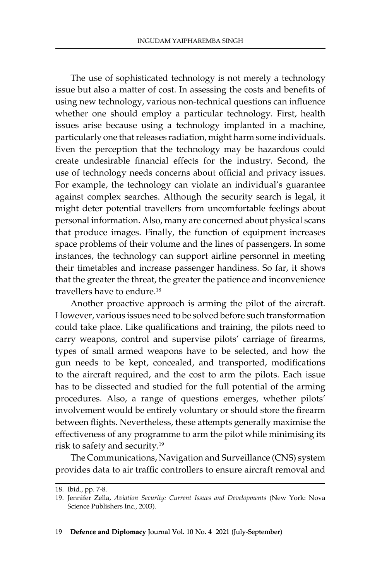The use of sophisticated technology is not merely a technology issue but also a matter of cost. In assessing the costs and benefits of using new technology, various non-technical questions can influence whether one should employ a particular technology. First, health issues arise because using a technology implanted in a machine, particularly one that releases radiation, might harm some individuals. Even the perception that the technology may be hazardous could create undesirable financial effects for the industry. Second, the use of technology needs concerns about official and privacy issues. For example, the technology can violate an individual's guarantee against complex searches. Although the security search is legal, it might deter potential travellers from uncomfortable feelings about personal information. Also, many are concerned about physical scans that produce images. Finally, the function of equipment increases space problems of their volume and the lines of passengers. In some instances, the technology can support airline personnel in meeting their timetables and increase passenger handiness. So far, it shows that the greater the threat, the greater the patience and inconvenience travellers have to endure.<sup>18</sup>

Another proactive approach is arming the pilot of the aircraft. However, various issues need to be solved before such transformation could take place. Like qualifications and training, the pilots need to carry weapons, control and supervise pilots' carriage of firearms, types of small armed weapons have to be selected, and how the gun needs to be kept, concealed, and transported, modifications to the aircraft required, and the cost to arm the pilots. Each issue has to be dissected and studied for the full potential of the arming procedures. Also, a range of questions emerges, whether pilots' involvement would be entirely voluntary or should store the firearm between flights. Nevertheless, these attempts generally maximise the effectiveness of any programme to arm the pilot while minimising its risk to safety and security.19

The Communications, Navigation and Surveillance (CNS) system provides data to air traffic controllers to ensure aircraft removal and

<sup>18.</sup> Ibid., pp. 7-8.

<sup>19.</sup> Jennifer Zella, *Aviation Security: Current Issues and Developments* (New York: Nova Science Publishers Inc., 2003).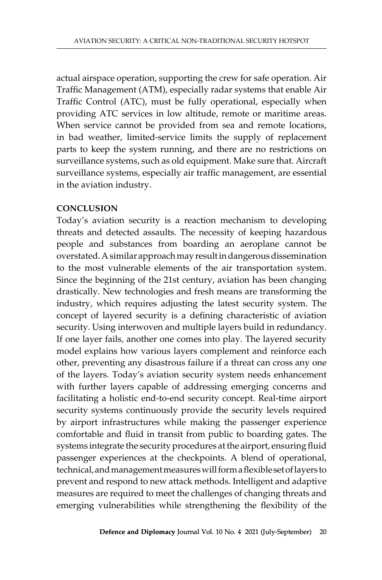actual airspace operation, supporting the crew for safe operation. Air Traffic Management (ATM), especially radar systems that enable Air Traffic Control (ATC), must be fully operational, especially when providing ATC services in low altitude, remote or maritime areas. When service cannot be provided from sea and remote locations, in bad weather, limited-service limits the supply of replacement parts to keep the system running, and there are no restrictions on surveillance systems, such as old equipment. Make sure that. Aircraft surveillance systems, especially air traffic management, are essential in the aviation industry.

## **Conclusion**

Today's aviation security is a reaction mechanism to developing threats and detected assaults. The necessity of keeping hazardous people and substances from boarding an aeroplane cannot be overstated. A similar approach may result in dangerous dissemination to the most vulnerable elements of the air transportation system. Since the beginning of the 21st century, aviation has been changing drastically. New technologies and fresh means are transforming the industry, which requires adjusting the latest security system. The concept of layered security is a defining characteristic of aviation security. Using interwoven and multiple layers build in redundancy. If one layer fails, another one comes into play. The layered security model explains how various layers complement and reinforce each other, preventing any disastrous failure if a threat can cross any one of the layers. Today's aviation security system needs enhancement with further layers capable of addressing emerging concerns and facilitating a holistic end-to-end security concept. Real-time airport security systems continuously provide the security levels required by airport infrastructures while making the passenger experience comfortable and fluid in transit from public to boarding gates. The systems integrate the security procedures at the airport, ensuring fluid passenger experiences at the checkpoints. A blend of operational, technical, and management measures will form a flexible set of layers to prevent and respond to new attack methods. Intelligent and adaptive measures are required to meet the challenges of changing threats and emerging vulnerabilities while strengthening the flexibility of the